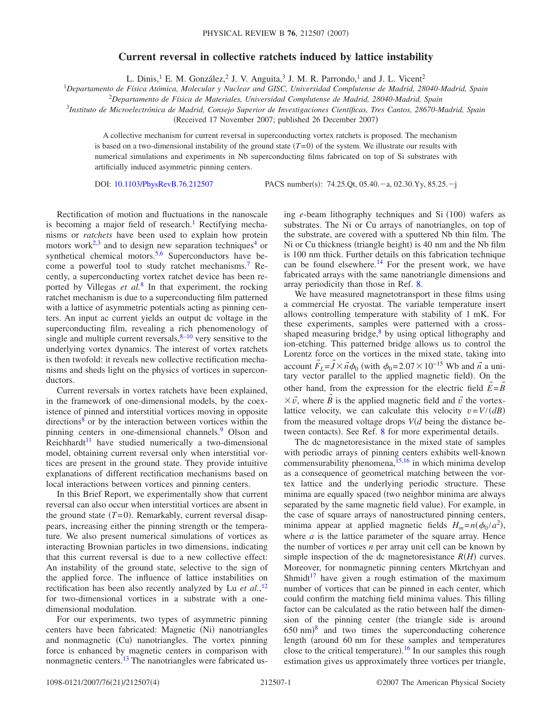## **Current reversal in collective ratchets induced by lattice instability**

L. Dinis,<sup>1</sup> E. M. González,<sup>2</sup> J. V. Anguita,<sup>3</sup> J. M. R. Parrondo,<sup>1</sup> and J. L. Vicent<sup>2</sup>

1 *Departamento de Física Atómica, Molecular y Nuclear and GISC, Universidad Complutense de Madrid, 28040-Madrid, Spain*

<sup>2</sup>*Departamento de Física de Materiales, Universidad Complutense de Madrid, 28040-Madrid, Spain*

3 *Instituto de Microelectrónica de Madrid, Consejo Superior de Investigaciones Científicas, Tres Cantos, 28670-Madrid, Spain*

(Received 17 November 2007; published 26 December 2007)

A collective mechanism for current reversal in superconducting vortex ratchets is proposed. The mechanism is based on a two-dimensional instability of the ground state  $(T=0)$  of the system. We illustrate our results with numerical simulations and experiments in Nb superconducting films fabricated on top of Si substrates with artificially induced asymmetric pinning centers.

DOI: [10.1103/PhysRevB.76.212507](http://dx.doi.org/10.1103/PhysRevB.76.212507)

PACS number(s):  $74.25$ .Qt,  $05.40$ . - a,  $02.30$ .Yy,  $85.25$ . - j

Rectification of motion and fluctuations in the nanoscale is becoming a major field of research.<sup>1</sup> Rectifying mechanisms or *ratchets* have been used to explain how protein motors work<sup>2[,3](#page-3-2)</sup> and to design new separation techniques<sup>4</sup> or synthetical chemical motors. $5.6$  Superconductors have become a powerful tool to study ratchet mechanisms.<sup>7</sup> Recently, a superconducting vortex ratchet device has been reported by Villegas *et al.*[8](#page-3-7) In that experiment, the rocking ratchet mechanism is due to a superconducting film patterned with a lattice of asymmetric potentials acting as pinning centers. An input ac current yields an output dc voltage in the superconducting film, revealing a rich phenomenology of single and multiple current reversals,  $8-10$  very sensitive to the underlying vortex dynamics. The interest of vortex ratchets is then twofold: it reveals new collective rectification mechanisms and sheds light on the physics of vortices in superconductors.

Current reversals in vortex ratchets have been explained, in the framework of one-dimensional models, by the coexistence of pinned and interstitial vortices moving in opposite directions $\delta$  or by the interaction between vortices within the pinning centers in one-dimensional channels.<sup>9</sup> Olson and Reichhardt $11$  have studied numerically a two-dimensional model, obtaining current reversal only when interstitial vortices are present in the ground state. They provide intuitive explanations of different rectification mechanisms based on local interactions between vortices and pinning centers.

In this Brief Report, we experimentally show that current reversal can also occur when interstitial vortices are absent in the ground state  $(T=0)$ . Remarkably, current reversal disappears, increasing either the pinning strength or the temperature. We also present numerical simulations of vortices as interacting Brownian particles in two dimensions, indicating that this current reversal is due to a new collective effect: An instability of the ground state, selective to the sign of the applied force. The influence of lattice instabilities on rectification has been also recently analyzed by Lu *et al.*, [12](#page-3-11) for two-dimensional vortices in a substrate with a onedimensional modulation.

For our experiments, two types of asymmetric pinning centers have been fabricated: Magnetic (Ni) nanotriangles and nonmagnetic (Cu) nanotriangles. The vortex pinning force is enhanced by magnetic centers in comparison with nonmagnetic centers.<sup>13</sup> The nanotriangles were fabricated us-

ing e-beam lithography techniques and Si (100) wafers as substrates. The Ni or Cu arrays of nanotriangles, on top of the substrate, are covered with a sputtered Nb thin film. The Ni or Cu thickness (triangle height) is 40 nm and the Nb film is 100 nm thick. Further details on this fabrication technique can be found elsewhere.<sup>14</sup> For the present work, we have fabricated arrays with the same nanotriangle dimensions and array periodicity than those in Ref. [8.](#page-3-7)

We have measured magnetotransport in these films using a commercial He cryostat. The variable temperature insert allows controlling temperature with stability of 1 mK. For these experiments, samples were patterned with a crossshaped measuring bridge, $8$  by using optical lithography and ion-etching. This patterned bridge allows us to control the Lorentz force on the vortices in the mixed state, taking into account  $\vec{F}_L = \vec{J} \times \vec{n} \phi_0$  (with  $\phi_0 = 2.07 \times 10^{-15}$  Wb and  $\vec{n}$  a unitary vector parallel to the applied magnetic field). On the other hand, from the expression for the electric field  $E = B$  $\times \vec{v}$ , where *B* is the applied magnetic field and  $\vec{v}$  the vortex-→ lattice velocity, we can calculate this velocity  $v = V/(dB)$ from the measured voltage drops *Vd* being the distance be-tween contacts). See Ref. [8](#page-3-7) for more experimental details.

The dc magnetoresistance in the mixed state of samples with periodic arrays of pinning centers exhibits well-known commensurability phenomena, $15,16$  $15,16$  in which minima develop as a consequence of geometrical matching between the vortex lattice and the underlying periodic structure. These minima are equally spaced (two neighbor minima are always separated by the same magnetic field value). For example, in the case of square arrays of nanostructured pinning centers, minima appear at applied magnetic fields  $H_m = n(\phi_0/a^2)$ , where *a* is the lattice parameter of the square array. Hence the number of vortices *n* per array unit cell can be known by simple inspection of the dc magnetoresistance  $R(H)$  curves. Moreover, for nonmagnetic pinning centers Mkrtchyan and Shmidt $17$  have given a rough estimation of the maximum number of vortices that can be pinned in each center, which could confirm the matching field minima values. This filling factor can be calculated as the ratio between half the dimension of the pinning center (the triangle side is around  $650 \text{ nm}$ <sup>[8](#page-3-7)</sup> and two times the superconducting coherence length (around 60 nm for these samples and temperatures close to the critical temperature).<sup>[16](#page-3-15)</sup> In our samples this rough estimation gives us approximately three vortices per triangle,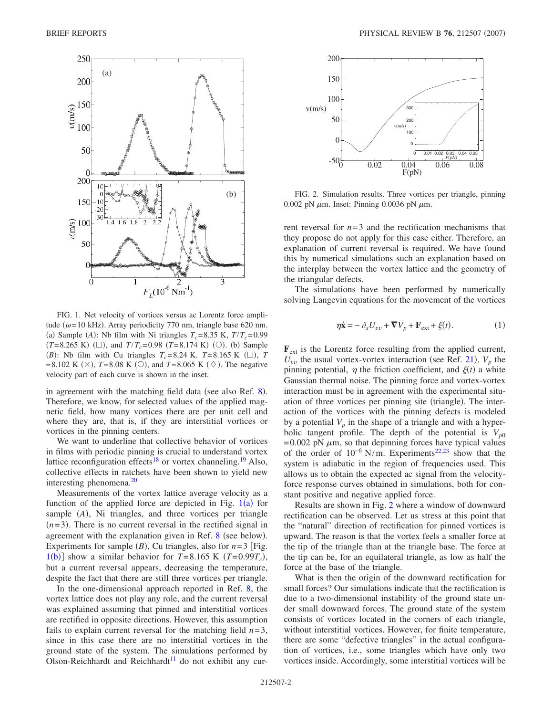<span id="page-1-0"></span>

FIG. 1. Net velocity of vortices versus ac Lorentz force amplitude ( $\omega$ =10 kHz). Array periodicity 770 nm, triangle base 620 nm. (a) Sample (A): Nb film with Ni triangles  $T_c = 8.35$  K,  $T/T_c = 0.99$  $(T=8.265 \text{ K})$  ( $\square$ ), and  $T/T_c = 0.98$   $(T=8.174 \text{ K})$  ( $\square$ ). (b) Sample (*B*): Nb film with Cu triangles  $T_c = 8.24$  K.  $T = 8.165$  K ( $\Box$ ), *T*  $= 8.102$  K ( $\times$ ),  $T = 8.08$  K ( $\circ$ ), and  $T = 8.065$  K ( $\diamond$ ). The negative velocity part of each curve is shown in the inset.

in agreement with the matching field data (see also Ref. [8](#page-3-7)). Therefore, we know, for selected values of the applied magnetic field, how many vortices there are per unit cell and where they are, that is, if they are interstitial vortices or vortices in the pinning centers.

We want to underline that collective behavior of vortices in films with periodic pinning is crucial to understand vortex lattice reconfiguration effects<sup>18</sup> or vortex channeling.<sup>19</sup> Also, collective effects in ratchets have been shown to yield new interesting phenomena.<sup>20</sup>

Measurements of the vortex lattice average velocity as a function of the applied force are depicted in Fig.  $1(a)$  $1(a)$  for sample (A), Ni triangles, and three vortices per triangle  $(n=3)$ . There is no current reversal in the rectified signal in agreement with the explanation given in Ref.  $8$  (see below). Experiments for sample  $(B)$ , Cu triangles, also for  $n=3$  [Fig.  $1(b)$  $1(b)$  $1(b)$ ] show a similar behavior for  $T=8.165$  K  $(T=0.99T_c)$ , but a current reversal appears, decreasing the temperature, despite the fact that there are still three vortices per triangle.

In the one-dimensional approach reported in Ref. [8,](#page-3-7) the vortex lattice does not play any role, and the current reversal was explained assuming that pinned and interstitial vortices are rectified in opposite directions. However, this assumption fails to explain current reversal for the matching field  $n=3$ , since in this case there are no interstitial vortices in the ground state of the system. The simulations performed by Olson-Reichhardt and Reichhardt<sup>11</sup> do not exhibit any cur-

<span id="page-1-1"></span>

FIG. 2. Simulation results. Three vortices per triangle, pinning 0.002 pN  $\mu$ m. Inset: Pinning 0.0036 pN  $\mu$ m.

rent reversal for  $n=3$  and the rectification mechanisms that they propose do not apply for this case either. Therefore, an explanation of current reversal is required. We have found this by numerical simulations such an explanation based on the interplay between the vortex lattice and the geometry of the triangular defects.

The simulations have been performed by numerically solving Langevin equations for the movement of the vortices

$$
\eta \dot{\mathbf{x}} = -\partial_x U_{vv} + \nabla V_p + \mathbf{F}_{ext} + \xi(t). \tag{1}
$$

 $\mathbf{F}_{ext}$  is the Lorentz force resulting from the applied current,  $U_{vv}$  the usual vortex-vortex interaction (see Ref. [21](#page-3-20)),  $V_p$  the pinning potential,  $\eta$  the friction coefficient, and  $\xi(t)$  a white Gaussian thermal noise. The pinning force and vortex-vortex interaction must be in agreement with the experimental situation of three vortices per pinning site (triangle). The interaction of the vortices with the pinning defects is modeled by a potential  $V_p$  in the shape of a triangle and with a hyperbolic tangent profile. The depth of the potential is  $V_{p0}$  $=0.002$  pN  $\mu$ m, so that depinning forces have typical values of the order of  $10^{-6}$  N/m. Experiments<sup>22,[23](#page-3-22)</sup> show that the system is adiabatic in the region of frequencies used. This allows us to obtain the expected ac signal from the velocityforce response curves obtained in simulations, both for constant positive and negative applied force.

Results are shown in Fig. [2](#page-1-1) where a window of downward rectification can be observed. Let us stress at this point that the "natural" direction of rectification for pinned vortices is upward. The reason is that the vortex feels a smaller force at the tip of the triangle than at the triangle base. The force at the tip can be, for an equilateral triangle, as low as half the force at the base of the triangle.

What is then the origin of the downward rectification for small forces? Our simulations indicate that the rectification is due to a two-dimensional instability of the ground state under small downward forces. The ground state of the system consists of vortices located in the corners of each triangle, without interstitial vortices. However, for finite temperature, there are some "defective triangles" in the actual configuration of vortices, i.e., some triangles which have only two vortices inside. Accordingly, some interstitial vortices will be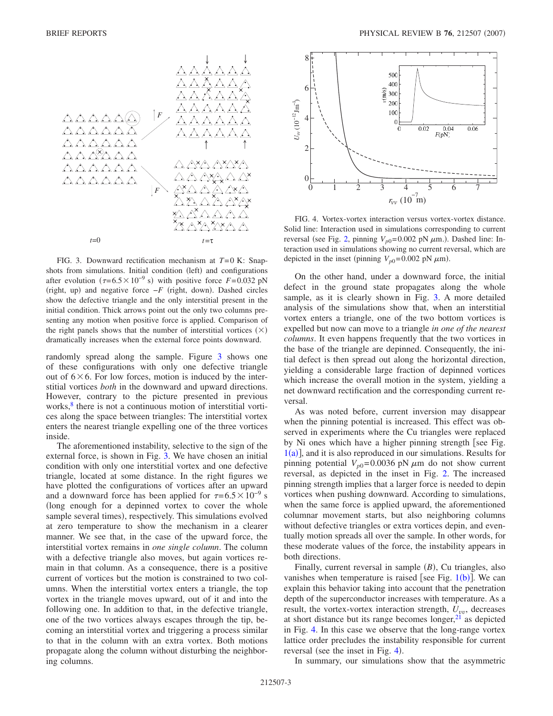<span id="page-2-0"></span>

FIG. 3. Downward rectification mechanism at *T*=0 K: Snapshots from simulations. Initial condition (left) and configurations after evolution  $(\tau = 6.5 \times 10^{-9} \text{ s})$  with positive force  $F = 0.032 \text{ pN}$ (right, up) and negative force  $-F$  (right, down). Dashed circles show the defective triangle and the only interstitial present in the initial condition. Thick arrows point out the only two columns presenting any motion when positive force is applied. Comparison of the right panels shows that the number of interstitial vortices  $(\times)$ dramatically increases when the external force points downward.

randomly spread along the sample. Figure [3](#page-2-0) shows one of these configurations with only one defective triangle out of  $6\times6$ . For low forces, motion is induced by the interstitial vortices *both* in the downward and upward directions. However, contrary to the picture presented in previous works, $<sup>8</sup>$  there is not a continuous motion of interstitial vorti-</sup> ces along the space between triangles: The interstitial vortex enters the nearest triangle expelling one of the three vortices inside.

The aforementioned instability, selective to the sign of the external force, is shown in Fig. [3.](#page-2-0) We have chosen an initial condition with only one interstitial vortex and one defective triangle, located at some distance. In the right figures we have plotted the configurations of vortices after an upward and a downward force has been applied for  $\tau = 6.5 \times 10^{-9}$  s long enough for a depinned vortex to cover the whole sample several times), respectively. This simulations evolved at zero temperature to show the mechanism in a clearer manner. We see that, in the case of the upward force, the interstitial vortex remains in *one single column*. The column with a defective triangle also moves, but again vortices remain in that column. As a consequence, there is a positive current of vortices but the motion is constrained to two columns. When the interstitial vortex enters a triangle, the top vortex in the triangle moves upward, out of it and into the following one. In addition to that, in the defective triangle, one of the two vortices always escapes through the tip, becoming an interstitial vortex and triggering a process similar to that in the column with an extra vortex. Both motions propagate along the column without disturbing the neighboring columns.

<span id="page-2-1"></span>

FIG. 4. Vortex-vortex interaction versus vortex-vortex distance. Solid line: Interaction used in simulations corresponding to current reversal (see Fig. [2,](#page-1-1) pinning  $V_{p0} = 0.002$  pN  $\mu$ m.). Dashed line: Interaction used in simulations showing no current reversal, which are depicted in the inset (pinning  $V_{p0} = 0.002$  pN  $\mu$ m).

On the other hand, under a downward force, the initial defect in the ground state propagates along the whole sample, as it is clearly shown in Fig. [3.](#page-2-0) A more detailed analysis of the simulations show that, when an interstitial vortex enters a triangle, one of the two bottom vortices is expelled but now can move to a triangle *in one of the nearest columns*. It even happens frequently that the two vortices in the base of the triangle are depinned. Consequently, the initial defect is then spread out along the horizontal direction, yielding a considerable large fraction of depinned vortices which increase the overall motion in the system, yielding a net downward rectification and the corresponding current reversal.

As was noted before, current inversion may disappear when the pinning potential is increased. This effect was observed in experiments where the Cu triangles were replaced by Ni ones which have a higher pinning strength [see Fig.  $1(a)$  $1(a)$ ], and it is also reproduced in our simulations. Results for pinning potential  $V_{p0}$ =0.0036 pN  $\mu$ m do not show current reversal, as depicted in the inset in Fig. [2.](#page-1-1) The increased pinning strength implies that a larger force is needed to depin vortices when pushing downward. According to simulations, when the same force is applied upward, the aforementioned columnar movement starts, but also neighboring columns without defective triangles or extra vortices depin, and eventually motion spreads all over the sample. In other words, for these moderate values of the force, the instability appears in both directions.

Finally, current reversal in sample (B), Cu triangles, also vanishes when temperature is raised [see Fig.  $1(b)$  $1(b)$ ]. We can explain this behavior taking into account that the penetration depth of the superconductor increases with temperature. As a result, the vortex-vortex interaction strength,  $U_{vv}$ , decreases at short distance but its range becomes longer, $2<sup>1</sup>$  as depicted in Fig. [4.](#page-2-1) In this case we observe that the long-range vortex lattice order precludes the instability responsible for current reversal (see the inset in Fig. [4](#page-2-1)).

In summary, our simulations show that the asymmetric